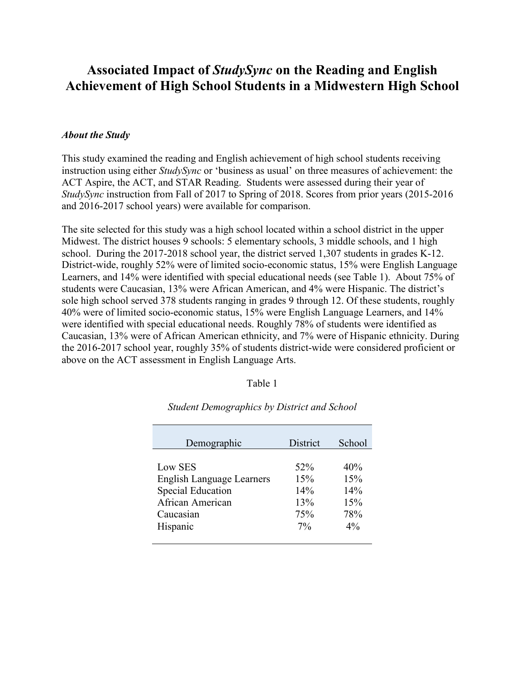# **Associated Impact of** *StudySync* **on the Reading and English Achievement of High School Students in a Midwestern High School**

## *About the Study*

This study examined the reading and English achievement of high school students receiving instruction using either *StudySync* or 'business as usual' on three measures of achievement: the ACT Aspire, the ACT, and STAR Reading. Students were assessed during their year of *StudySync* instruction from Fall of 2017 to Spring of 2018. Scores from prior years (2015-2016 and 2016-2017 school years) were available for comparison.

The site selected for this study was a high school located within a school district in the upper Midwest. The district houses 9 schools: 5 elementary schools, 3 middle schools, and 1 high school. During the 2017-2018 school year, the district served 1,307 students in grades K-12. District-wide, roughly 52% were of limited socio-economic status, 15% were English Language Learners, and 14% were identified with special educational needs (see Table 1). About 75% of students were Caucasian, 13% were African American, and 4% were Hispanic. The district's sole high school served 378 students ranging in grades 9 through 12. Of these students, roughly 40% were of limited socio-economic status, 15% were English Language Learners, and 14% were identified with special educational needs. Roughly 78% of students were identified as Caucasian, 13% were of African American ethnicity, and 7% were of Hispanic ethnicity. During the 2016-2017 school year, roughly 35% of students district-wide were considered proficient or above on the ACT assessment in English Language Arts.

### Table 1

| Demographic                      | District | School |
|----------------------------------|----------|--------|
| Low SES                          | 52%      | 40%    |
| <b>English Language Learners</b> | 15%      | 15%    |
| <b>Special Education</b>         | 14%      | 14%    |
| African American                 | 13%      | 15%    |
| Caucasian                        | 75%      | 78%    |
| Hispanic                         | $7\%$    | $4\%$  |

*Student Demographics by District and School*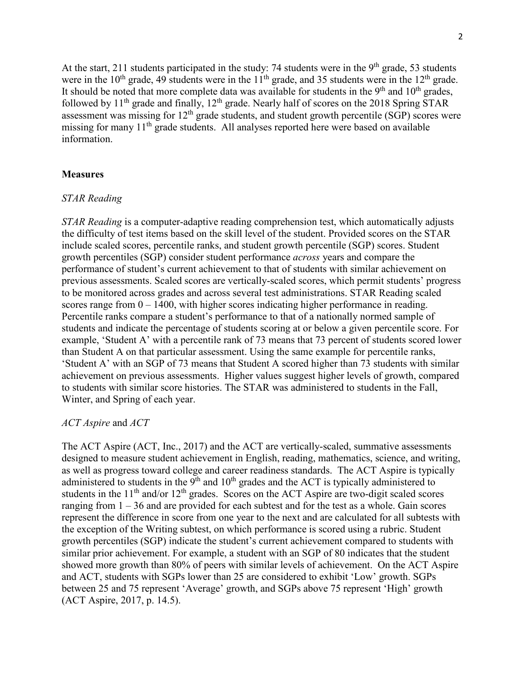At the start, 211 students participated in the study: 74 students were in the 9<sup>th</sup> grade, 53 students were in the  $10^{th}$  grade, 49 students were in the  $11^{th}$  grade, and 35 students were in the  $12^{th}$  grade. It should be noted that more complete data was available for students in the  $9<sup>th</sup>$  and  $10<sup>th</sup>$  grades, followed by  $11<sup>th</sup>$  grade and finally,  $12<sup>th</sup>$  grade. Nearly half of scores on the 2018 Spring STAR assessment was missing for 12<sup>th</sup> grade students, and student growth percentile (SGP) scores were missing for many 11<sup>th</sup> grade students. All analyses reported here were based on available information.

#### **Measures**

### *STAR Reading*

*STAR Reading* is a computer-adaptive reading comprehension test, which automatically adjusts the difficulty of test items based on the skill level of the student. Provided scores on the STAR include scaled scores, percentile ranks, and student growth percentile (SGP) scores. Student growth percentiles (SGP) consider student performance *across* years and compare the performance of student's current achievement to that of students with similar achievement on previous assessments. Scaled scores are vertically-scaled scores, which permit students' progress to be monitored across grades and across several test administrations. STAR Reading scaled scores range from  $0 - 1400$ , with higher scores indicating higher performance in reading. Percentile ranks compare a student's performance to that of a nationally normed sample of students and indicate the percentage of students scoring at or below a given percentile score. For example, 'Student A' with a percentile rank of 73 means that 73 percent of students scored lower than Student A on that particular assessment. Using the same example for percentile ranks, 'Student A' with an SGP of 73 means that Student A scored higher than 73 students with similar achievement on previous assessments. Higher values suggest higher levels of growth, compared to students with similar score histories. The STAR was administered to students in the Fall, Winter, and Spring of each year.

#### *ACT Aspire* and *ACT*

The ACT Aspire (ACT, Inc., 2017) and the ACT are vertically-scaled, summative assessments designed to measure student achievement in English, reading, mathematics, science, and writing, as well as progress toward college and career readiness standards. The ACT Aspire is typically administered to students in the  $9<sup>th</sup>$  and  $10<sup>th</sup>$  grades and the ACT is typically administered to students in the  $11<sup>th</sup>$  and/or  $12<sup>th</sup>$  grades. Scores on the ACT Aspire are two-digit scaled scores ranging from  $1 - 36$  and are provided for each subtest and for the test as a whole. Gain scores represent the difference in score from one year to the next and are calculated for all subtests with the exception of the Writing subtest, on which performance is scored using a rubric. Student growth percentiles (SGP) indicate the student's current achievement compared to students with similar prior achievement. For example, a student with an SGP of 80 indicates that the student showed more growth than 80% of peers with similar levels of achievement. On the ACT Aspire and ACT, students with SGPs lower than 25 are considered to exhibit 'Low' growth. SGPs between 25 and 75 represent 'Average' growth, and SGPs above 75 represent 'High' growth (ACT Aspire, 2017, p. 14.5).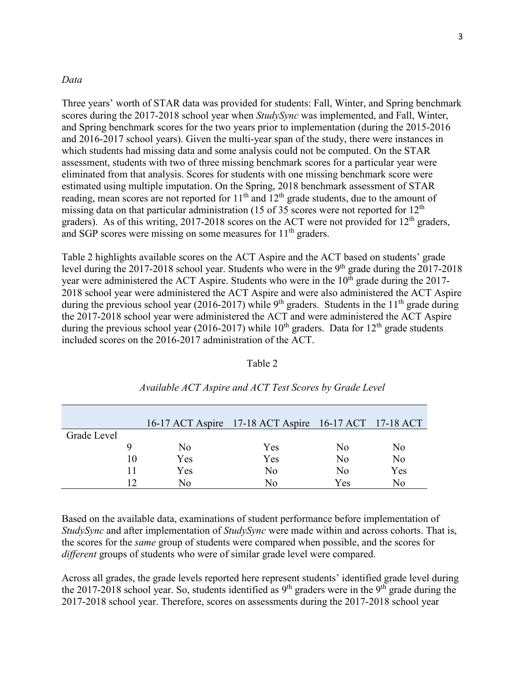### *Data*

Three years' worth of STAR data was provided for students: Fall, Winter, and Spring benchmark scores during the 2017-2018 school year when *StudySync* was implemented, and Fall, Winter, and Spring benchmark scores for the two years prior to implementation (during the 2015-2016 and 2016-2017 school years). Given the multi-year span of the study, there were instances in which students had missing data and some analysis could not be computed. On the STAR assessment, students with two of three missing benchmark scores for a particular year were eliminated from that analysis. Scores for students with one missing benchmark score were estimated using multiple imputation. On the Spring, 2018 benchmark assessment of STAR reading, mean scores are not reported for  $11<sup>th</sup>$  and  $12<sup>th</sup>$  grade students, due to the amount of missing data on that particular administration (15 of 35 scores were not reported for  $12<sup>th</sup>$ graders). As of this writing,  $2017-2018$  scores on the ACT were not provided for  $12<sup>th</sup>$  graders, and SGP scores were missing on some measures for  $11<sup>th</sup>$  graders.

Table 2 highlights available scores on the ACT Aspire and the ACT based on students' grade level during the 2017-2018 school year. Students who were in the 9<sup>th</sup> grade during the 2017-2018 year were administered the ACT Aspire. Students who were in the  $10<sup>th</sup>$  grade during the 2017-2018 school year were administered the ACT Aspire and were also administered the ACT Aspire during the previous school year (2016-2017) while 9<sup>th</sup> graders. Students in the 11<sup>th</sup> grade during the 2017-2018 school year were administered the ACT and were administered the ACT Aspire during the previous school year (2016-2017) while  $10^{th}$  graders. Data for  $12^{th}$  grade students included scores on the 2016-2017 administration of the ACT.

#### Table 2

|             |    |     | 16-17 ACT Aspire 17-18 ACT Aspire 16-17 ACT 17-18 ACT |                |     |
|-------------|----|-----|-------------------------------------------------------|----------------|-----|
| Grade Level |    |     |                                                       |                |     |
|             |    | No  | Yes                                                   | No             | No  |
|             | 10 | Yes | Yes                                                   | No             | No  |
|             | 11 | Yes | No                                                    | N <sub>0</sub> | Yes |
|             | 12 | Nο  | Nο                                                    | Yes            | Nο  |

## *Available ACT Aspire and ACT Test Scores by Grade Level*

Based on the available data, examinations of student performance before implementation of *StudySync* and after implementation of *StudySync* were made within and across cohorts. That is, the scores for the *same* group of students were compared when possible, and the scores for *different* groups of students who were of similar grade level were compared.

Across all grades, the grade levels reported here represent students' identified grade level during the 2017-2018 school year. So, students identified as  $9<sup>th</sup>$  graders were in the  $9<sup>th</sup>$  grade during the 2017-2018 school year. Therefore, scores on assessments during the 2017-2018 school year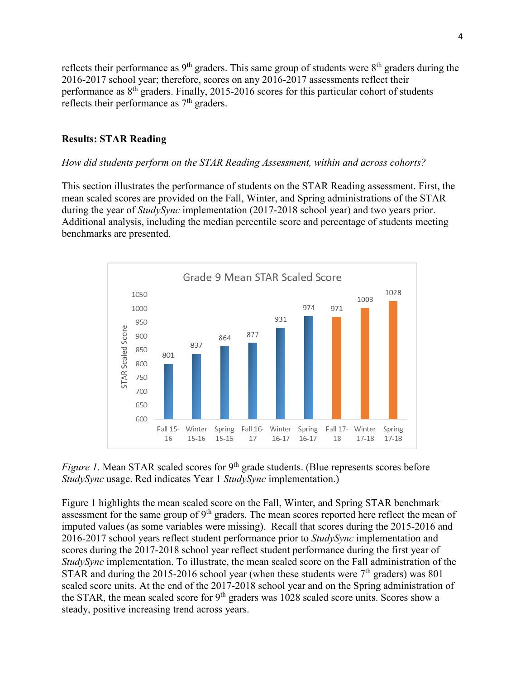reflects their performance as  $9<sup>th</sup>$  graders. This same group of students were  $8<sup>th</sup>$  graders during the 2016-2017 school year; therefore, scores on any 2016-2017 assessments reflect their performance as 8th graders. Finally, 2015-2016 scores for this particular cohort of students reflects their performance as 7<sup>th</sup> graders.

## **Results: STAR Reading**

#### *How did students perform on the STAR Reading Assessment, within and across cohorts?*

This section illustrates the performance of students on the STAR Reading assessment. First, the mean scaled scores are provided on the Fall, Winter, and Spring administrations of the STAR during the year of *StudySync* implementation (2017-2018 school year) and two years prior. Additional analysis, including the median percentile score and percentage of students meeting benchmarks are presented.





Figure 1 highlights the mean scaled score on the Fall, Winter, and Spring STAR benchmark assessment for the same group of  $9<sup>th</sup>$  graders. The mean scores reported here reflect the mean of imputed values (as some variables were missing). Recall that scores during the 2015-2016 and 2016-2017 school years reflect student performance prior to *StudySync* implementation and scores during the 2017-2018 school year reflect student performance during the first year of *StudySync* implementation. To illustrate, the mean scaled score on the Fall administration of the STAR and during the 2015-2016 school year (when these students were  $7<sup>th</sup>$  graders) was 801 scaled score units. At the end of the 2017-2018 school year and on the Spring administration of the STAR, the mean scaled score for 9<sup>th</sup> graders was 1028 scaled score units. Scores show a steady, positive increasing trend across years.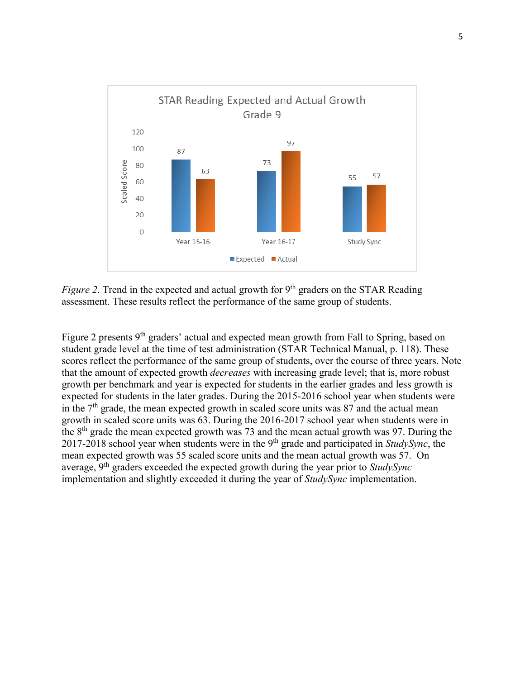

*Figure 2*. Trend in the expected and actual growth for 9<sup>th</sup> graders on the STAR Reading assessment. These results reflect the performance of the same group of students.

Figure 2 presents 9<sup>th</sup> graders' actual and expected mean growth from Fall to Spring, based on student grade level at the time of test administration (STAR Technical Manual, p. 118). These scores reflect the performance of the same group of students, over the course of three years. Note that the amount of expected growth *decreases* with increasing grade level; that is, more robust growth per benchmark and year is expected for students in the earlier grades and less growth is expected for students in the later grades. During the 2015-2016 school year when students were in the  $7<sup>th</sup>$  grade, the mean expected growth in scaled score units was 87 and the actual mean growth in scaled score units was 63. During the 2016-2017 school year when students were in the  $8<sup>th</sup>$  grade the mean expected growth was 73 and the mean actual growth was 97. During the 2017-2018 school year when students were in the 9th grade and participated in *StudySync*, the mean expected growth was 55 scaled score units and the mean actual growth was 57. On average, 9th graders exceeded the expected growth during the year prior to *StudySync* implementation and slightly exceeded it during the year of *StudySync* implementation.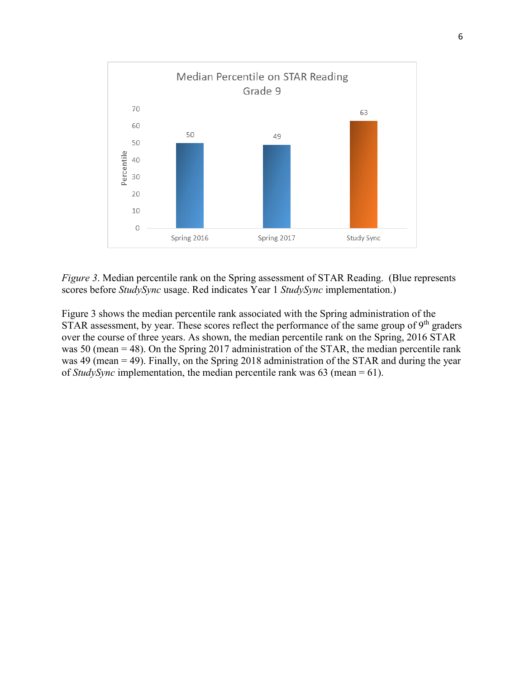

*Figure 3*. Median percentile rank on the Spring assessment of STAR Reading. (Blue represents scores before *StudySync* usage. Red indicates Year 1 *StudySync* implementation.)

Figure 3 shows the median percentile rank associated with the Spring administration of the STAR assessment, by year. These scores reflect the performance of the same group of  $9<sup>th</sup>$  graders over the course of three years. As shown, the median percentile rank on the Spring, 2016 STAR was 50 (mean = 48). On the Spring 2017 administration of the STAR, the median percentile rank was 49 (mean = 49). Finally, on the Spring 2018 administration of the STAR and during the year of *StudySync* implementation, the median percentile rank was 63 (mean = 61).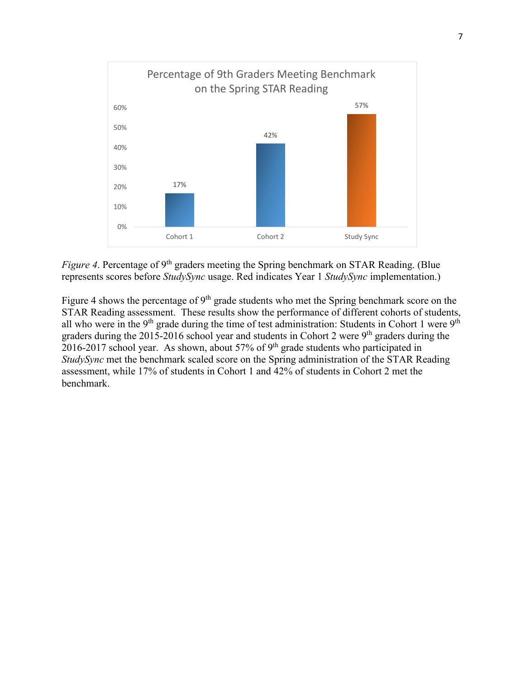

*Figure 4*. Percentage of 9<sup>th</sup> graders meeting the Spring benchmark on STAR Reading. (Blue represents scores before *StudySync* usage. Red indicates Year 1 *StudySync* implementation.)

Figure 4 shows the percentage of 9<sup>th</sup> grade students who met the Spring benchmark score on the STAR Reading assessment. These results show the performance of different cohorts of students, all who were in the  $9<sup>th</sup>$  grade during the time of test administration: Students in Cohort 1 were  $9<sup>th</sup>$ graders during the  $2015-2016$  school year and students in Cohort 2 were  $9<sup>th</sup>$  graders during the 2016-2017 school year. As shown, about 57% of 9<sup>th</sup> grade students who participated in *StudySync* met the benchmark scaled score on the Spring administration of the STAR Reading assessment, while 17% of students in Cohort 1 and 42% of students in Cohort 2 met the benchmark.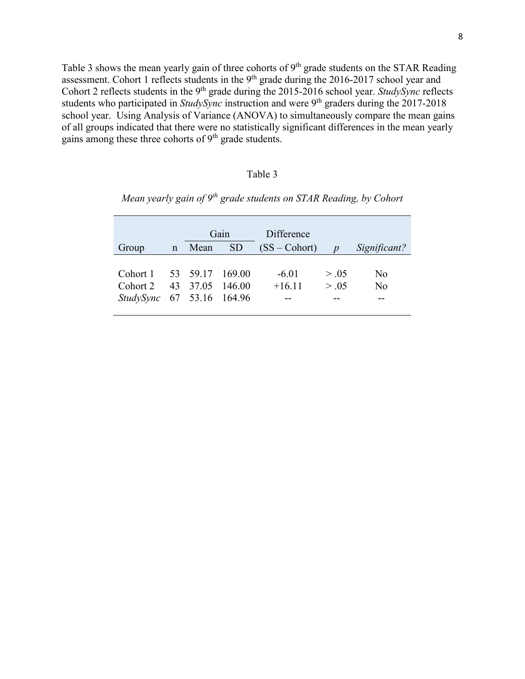Table 3 shows the mean yearly gain of three cohorts of  $9<sup>th</sup>$  grade students on the STAR Reading assessment. Cohort 1 reflects students in the  $9<sup>th</sup>$  grade during the 2016-2017 school year and Cohort 2 reflects students in the 9<sup>th</sup> grade during the 2015-2016 school year. *StudySync* reflects students who participated in *StudySync* instruction and were 9<sup>th</sup> graders during the 2017-2018 school year. Using Analysis of Variance (ANOVA) to simultaneously compare the mean gains of all groups indicated that there were no statistically significant differences in the mean yearly gains among these three cohorts of  $9<sup>th</sup>$  grade students.

#### Table 3

| Group                                                    | $\mathbf n$ | Gain<br><b>SD</b><br>Mean |                           | Difference<br>$(SS - Cohort)$ | $\boldsymbol{p}$ | Significant? |
|----------------------------------------------------------|-------------|---------------------------|---------------------------|-------------------------------|------------------|--------------|
| Cohort 1<br>Cohort 2<br><i>StudySync</i> 67 53.16 164.96 |             | 53 59.17                  | 169.00<br>43 37.05 146.00 | $-6.01$<br>$+16.11$           | > .05<br>> .05   | No<br>No     |

*Mean yearly gain of 9th grade students on STAR Reading, by Cohort*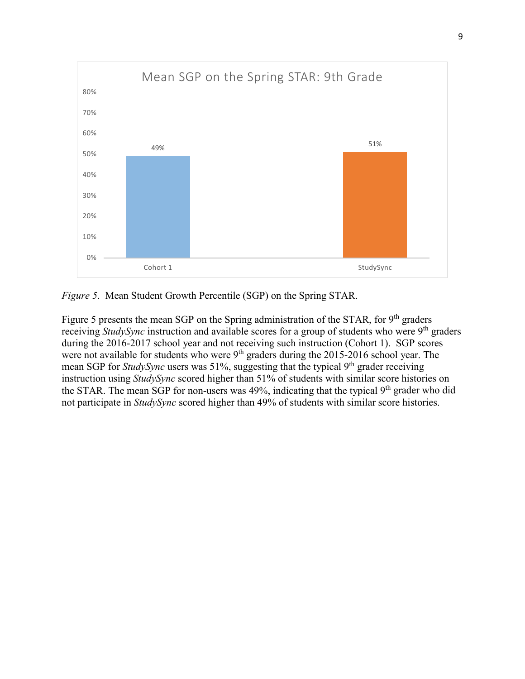

*Figure 5*. Mean Student Growth Percentile (SGP) on the Spring STAR.

Figure 5 presents the mean SGP on the Spring administration of the STAR, for 9<sup>th</sup> graders receiving *StudySync* instruction and available scores for a group of students who were 9<sup>th</sup> graders during the 2016-2017 school year and not receiving such instruction (Cohort 1). SGP scores were not available for students who were  $9<sup>th</sup>$  graders during the 2015-2016 school year. The mean SGP for *StudySync* users was 51%, suggesting that the typical 9<sup>th</sup> grader receiving instruction using *StudySync* scored higher than 51% of students with similar score histories on the STAR. The mean SGP for non-users was 49%, indicating that the typical  $9<sup>th</sup>$  grader who did not participate in *StudySync* scored higher than 49% of students with similar score histories.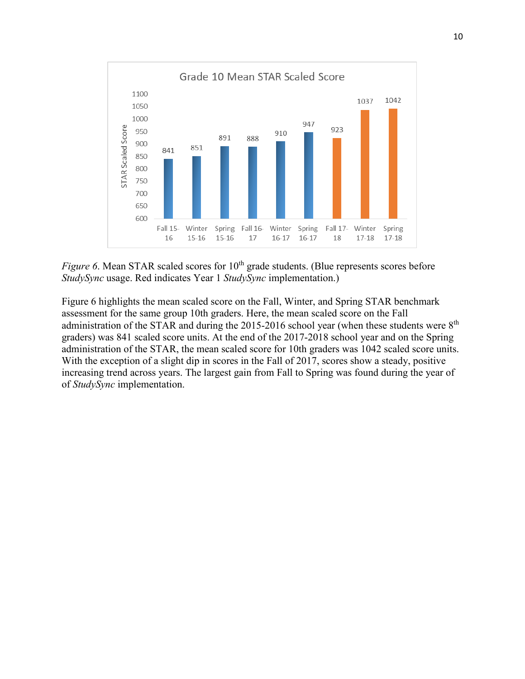

*Figure 6*. Mean STAR scaled scores for 10<sup>th</sup> grade students. (Blue represents scores before *StudySync* usage. Red indicates Year 1 *StudySync* implementation.)

Figure 6 highlights the mean scaled score on the Fall, Winter, and Spring STAR benchmark assessment for the same group 10th graders. Here, the mean scaled score on the Fall administration of the STAR and during the 2015-2016 school year (when these students were 8<sup>th</sup> graders) was 841 scaled score units. At the end of the 2017-2018 school year and on the Spring administration of the STAR, the mean scaled score for 10th graders was 1042 scaled score units. With the exception of a slight dip in scores in the Fall of 2017, scores show a steady, positive increasing trend across years. The largest gain from Fall to Spring was found during the year of of *StudySync* implementation.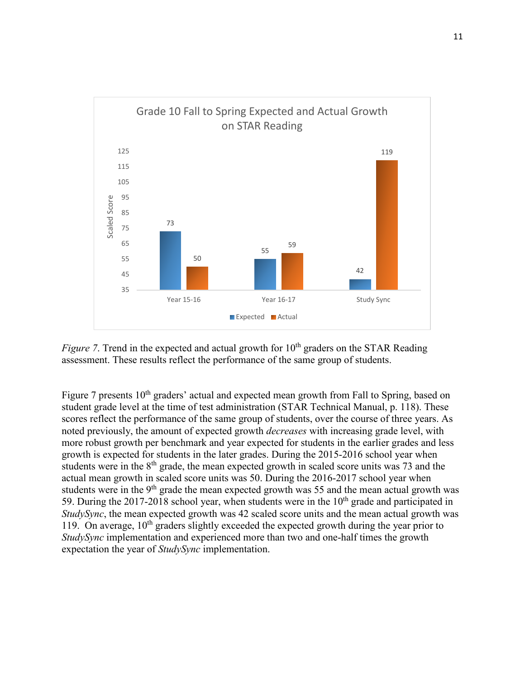

*Figure 7*. Trend in the expected and actual growth for  $10<sup>th</sup>$  graders on the STAR Reading assessment. These results reflect the performance of the same group of students.

Figure 7 presents  $10<sup>th</sup>$  graders' actual and expected mean growth from Fall to Spring, based on student grade level at the time of test administration (STAR Technical Manual, p. 118). These scores reflect the performance of the same group of students, over the course of three years. As noted previously, the amount of expected growth *decreases* with increasing grade level, with more robust growth per benchmark and year expected for students in the earlier grades and less growth is expected for students in the later grades. During the 2015-2016 school year when students were in the  $8<sup>th</sup>$  grade, the mean expected growth in scaled score units was 73 and the actual mean growth in scaled score units was 50. During the 2016-2017 school year when students were in the  $9<sup>th</sup>$  grade the mean expected growth was 55 and the mean actual growth was 59. During the 2017-2018 school year, when students were in the  $10<sup>th</sup>$  grade and participated in *StudySync*, the mean expected growth was 42 scaled score units and the mean actual growth was 119. On average,  $10<sup>th</sup>$  graders slightly exceeded the expected growth during the year prior to *StudySync* implementation and experienced more than two and one-half times the growth expectation the year of *StudySync* implementation.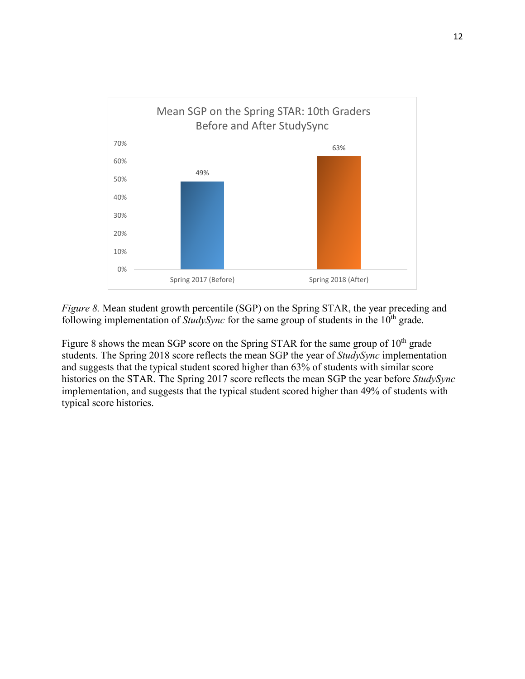

*Figure 8.* Mean student growth percentile (SGP) on the Spring STAR, the year preceding and following implementation of *StudySync* for the same group of students in the 10<sup>th</sup> grade.

Figure 8 shows the mean SGP score on the Spring STAR for the same group of  $10<sup>th</sup>$  grade students. The Spring 2018 score reflects the mean SGP the year of *StudySync* implementation and suggests that the typical student scored higher than 63% of students with similar score histories on the STAR. The Spring 2017 score reflects the mean SGP the year before *StudySync* implementation, and suggests that the typical student scored higher than 49% of students with typical score histories.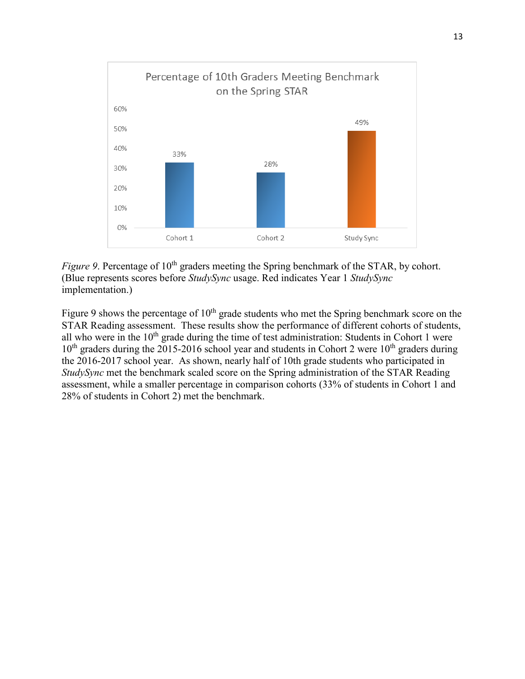

*Figure 9.* Percentage of 10<sup>th</sup> graders meeting the Spring benchmark of the STAR, by cohort. (Blue represents scores before *StudySync* usage. Red indicates Year 1 *StudySync* implementation.)

Figure 9 shows the percentage of  $10<sup>th</sup>$  grade students who met the Spring benchmark score on the STAR Reading assessment. These results show the performance of different cohorts of students, all who were in the 10<sup>th</sup> grade during the time of test administration: Students in Cohort 1 were  $10<sup>th</sup>$  graders during the 2015-2016 school year and students in Cohort 2 were  $10<sup>th</sup>$  graders during the 2016-2017 school year. As shown, nearly half of 10th grade students who participated in *StudySync* met the benchmark scaled score on the Spring administration of the STAR Reading assessment, while a smaller percentage in comparison cohorts (33% of students in Cohort 1 and 28% of students in Cohort 2) met the benchmark.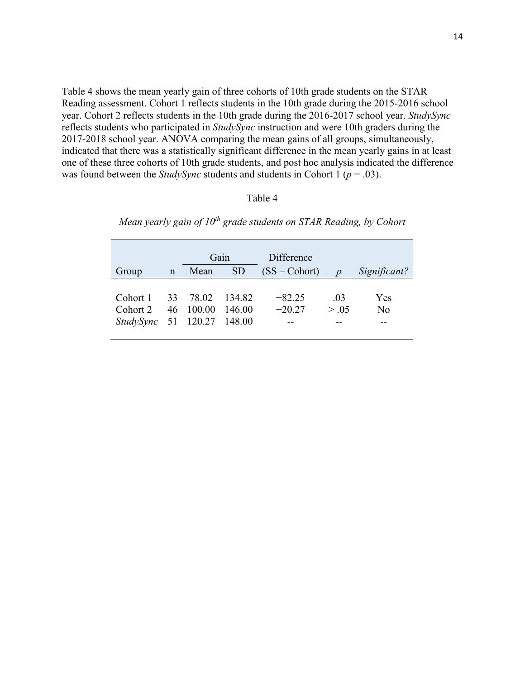Table 4 shows the mean yearly gain of three cohorts of 10th grade students on the STAR Reading assessment. Cohort 1 reflects students in the 10th grade during the 2015-2016 school year. Cohort 2 reflects students in the 10th grade during the 2016-2017 school year. *StudySync* reflects students who participated in *StudySync* instruction and were 10th graders during the 2017-2018 school year. ANOVA comparing the mean gains of all groups, simultaneously, indicated that there was a statistically significant difference in the mean yearly gains in at least one of these three cohorts of 10th grade students, and post hoc analysis indicated the difference was found between the *StudySync* students and students in Cohort 1 ( $p = .03$ ).

## Table 4

| Group                                                     | $\mathbf n$ | Gain<br><b>SD</b><br>Mean |                  | Difference<br>$(SS - Cohort)$ | $\boldsymbol{D}$ | Significant? |
|-----------------------------------------------------------|-------------|---------------------------|------------------|-------------------------------|------------------|--------------|
| Cohort 1<br>Cohort 2<br><i>StudySync</i> 51 120.27 148.00 |             | 33 78.02<br>46 100.00     | 134.82<br>146.00 | $+82.25$<br>$+20.27$          | .03<br>> .05     | Yes<br>No    |

*Mean yearly gain of 10<sup>th</sup> grade students on STAR Reading, by Cohort*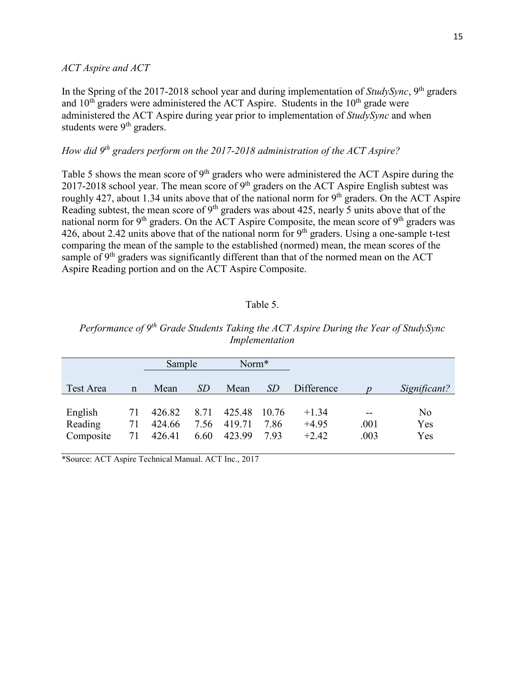#### *ACT Aspire and ACT*

In the Spring of the 2017-2018 school year and during implementation of *StudySync*, 9th graders and  $10<sup>th</sup>$  graders were administered the ACT Aspire. Students in the  $10<sup>th</sup>$  grade were administered the ACT Aspire during year prior to implementation of *StudySync* and when students were 9<sup>th</sup> graders.

## *How did 9th graders perform on the 2017-2018 administration of the ACT Aspire?*

Table 5 shows the mean score of 9<sup>th</sup> graders who were administered the ACT Aspire during the 2017-2018 school year. The mean score of  $9<sup>th</sup>$  graders on the ACT Aspire English subtest was roughly 427, about 1.34 units above that of the national norm for  $9<sup>th</sup>$  graders. On the ACT Aspire Reading subtest, the mean score of 9<sup>th</sup> graders was about 425, nearly 5 units above that of the national norm for 9<sup>th</sup> graders. On the ACT Aspire Composite, the mean score of 9<sup>th</sup> graders was 426, about 2.42 units above that of the national norm for  $9<sup>th</sup>$  graders. Using a one-sample t-test comparing the mean of the sample to the established (normed) mean, the mean scores of the sample of  $9<sup>th</sup>$  graders was significantly different than that of the normed mean on the ACT Aspire Reading portion and on the ACT Aspire Composite.

### Table 5.

|                                 |                | Sample                     |                      | Norm*                      |                       |                               |                       |                  |
|---------------------------------|----------------|----------------------------|----------------------|----------------------------|-----------------------|-------------------------------|-----------------------|------------------|
| Test Area                       | $\mathbf n$    | Mean                       | <i>SD</i>            | Mean                       | <i>SD</i>             | Difference                    |                       | Significant?     |
| English<br>Reading<br>Composite | 71<br>71<br>71 | 426.82<br>424.66<br>426.41 | 8.71<br>7.56<br>6.60 | 425.48<br>419.71<br>423.99 | 10.76<br>7.86<br>7.93 | $+1.34$<br>$+4.95$<br>$+2.42$ | $- -$<br>.001<br>.003 | No<br>Yes<br>Yes |

*Performance of 9th Grade Students Taking the ACT Aspire During the Year of StudySync Implementation*

\*Source: ACT Aspire Technical Manual. ACT Inc., 2017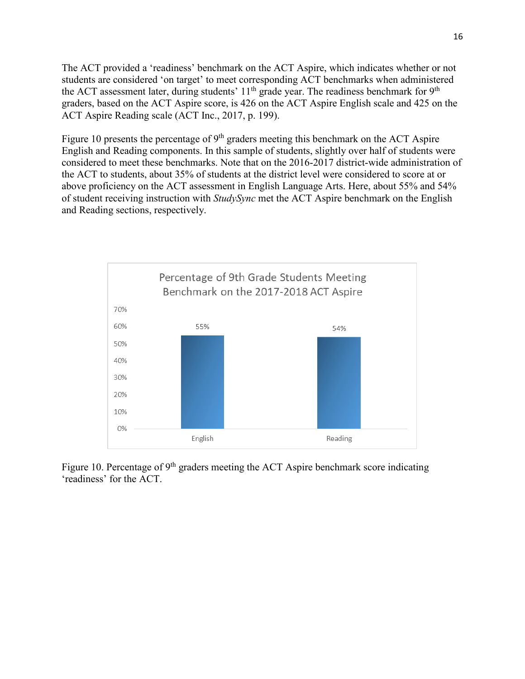The ACT provided a 'readiness' benchmark on the ACT Aspire, which indicates whether or not students are considered 'on target' to meet corresponding ACT benchmarks when administered the ACT assessment later, during students'  $11<sup>th</sup>$  grade year. The readiness benchmark for 9<sup>th</sup> graders, based on the ACT Aspire score, is 426 on the ACT Aspire English scale and 425 on the ACT Aspire Reading scale (ACT Inc., 2017, p. 199).

Figure 10 presents the percentage of  $9<sup>th</sup>$  graders meeting this benchmark on the ACT Aspire English and Reading components. In this sample of students, slightly over half of students were considered to meet these benchmarks. Note that on the 2016-2017 district-wide administration of the ACT to students, about 35% of students at the district level were considered to score at or above proficiency on the ACT assessment in English Language Arts. Here, about 55% and 54% of student receiving instruction with *StudySync* met the ACT Aspire benchmark on the English and Reading sections, respectively.



Figure 10. Percentage of  $9<sup>th</sup>$  graders meeting the ACT Aspire benchmark score indicating 'readiness' for the ACT.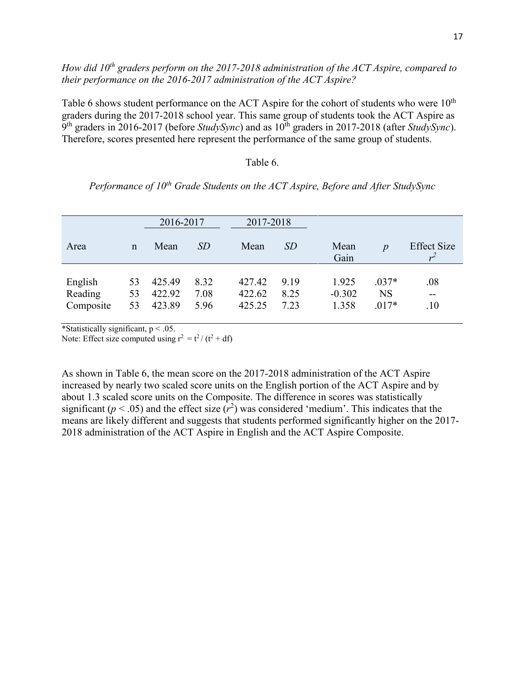## *How did 10<sup>th</sup> graders perform on the 2017-2018 administration of the ACT Aspire, compared to their performance on the 2016-2017 administration of the ACT Aspire?*

Table 6 shows student performance on the ACT Aspire for the cohort of students who were  $10<sup>th</sup>$ graders during the 2017-2018 school year. This same group of students took the ACT Aspire as 9<sup>th</sup> graders in 2016-2017 (before *StudySync*) and as  $10^{th}$  graders in 2017-2018 (after *StudySync*). Therefore, scores presented here represent the performance of the same group of students.

#### Table 6.

*Performance of 10th Grade Students on the ACT Aspire, Before and After StudySync*

|                                 |                | 2016-2017                  |                      |                            | 2017-2018            |                            |                                 |                     |
|---------------------------------|----------------|----------------------------|----------------------|----------------------------|----------------------|----------------------------|---------------------------------|---------------------|
| Area                            | $\mathbf n$    | Mean                       | SD                   | Mean                       | SD                   | Mean<br>Gain               | $\boldsymbol{p}$                | <b>Effect Size</b>  |
| English<br>Reading<br>Composite | 53<br>53<br>53 | 425.49<br>422.92<br>423.89 | 8.32<br>7.08<br>5.96 | 427.42<br>422.62<br>425.25 | 9.19<br>8.25<br>7.23 | 1.925<br>$-0.302$<br>1.358 | $.037*$<br><b>NS</b><br>$.017*$ | .08<br>$- -$<br>.10 |

\*Statistically significant,  $p < .05$ .

Note: Effect size computed using  $r^2 = t^2/(t^2 + df)$ 

As shown in Table 6, the mean score on the 2017-2018 administration of the ACT Aspire increased by nearly two scaled score units on the English portion of the ACT Aspire and by about 1.3 scaled score units on the Composite. The difference in scores was statistically significant ( $p < .05$ ) and the effect size ( $r<sup>2</sup>$ ) was considered 'medium'. This indicates that the means are likely different and suggests that students performed significantly higher on the 2017- 2018 administration of the ACT Aspire in English and the ACT Aspire Composite.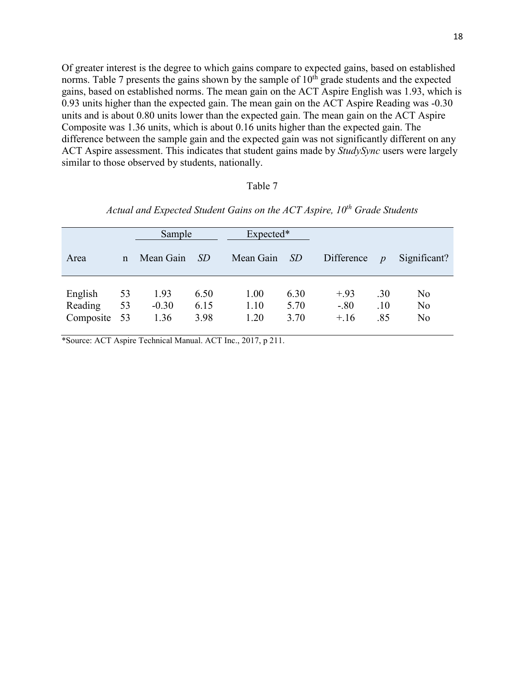Of greater interest is the degree to which gains compare to expected gains, based on established norms. Table 7 presents the gains shown by the sample of  $10<sup>th</sup>$  grade students and the expected gains, based on established norms. The mean gain on the ACT Aspire English was 1.93, which is 0.93 units higher than the expected gain. The mean gain on the ACT Aspire Reading was -0.30 units and is about 0.80 units lower than the expected gain. The mean gain on the ACT Aspire Composite was 1.36 units, which is about 0.16 units higher than the expected gain. The difference between the sample gain and the expected gain was not significantly different on any ACT Aspire assessment. This indicates that student gains made by *StudySync* users were largely similar to those observed by students, nationally.

#### Table 7

|                                 |                | Sample                  |                      | Expected*            |                      |                            |                   |                                        |
|---------------------------------|----------------|-------------------------|----------------------|----------------------|----------------------|----------------------------|-------------------|----------------------------------------|
| Area                            | $\mathbf n$    | Mean Gain               | <i>SD</i>            | Mean Gain            | <i>SD</i>            | Difference                 | $\boldsymbol{p}$  | Significant?                           |
| English<br>Reading<br>Composite | 53<br>53<br>53 | 1.93<br>$-0.30$<br>1.36 | 6.50<br>6.15<br>3.98 | 1.00<br>1.10<br>1.20 | 6.30<br>5.70<br>3.70 | $+.93$<br>$-.80$<br>$+.16$ | .30<br>.10<br>.85 | No<br>N <sub>o</sub><br>N <sub>o</sub> |

*Actual and Expected Student Gains on the ACT Aspire, 10th Grade Students*

\*Source: ACT Aspire Technical Manual. ACT Inc., 2017, p 211.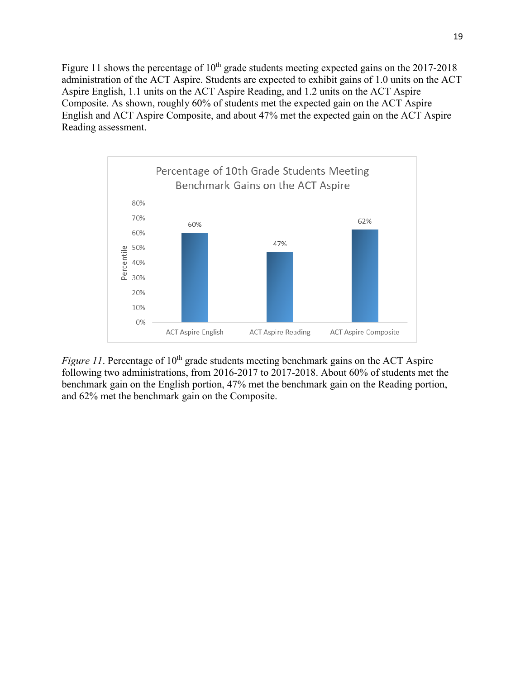Figure 11 shows the percentage of  $10<sup>th</sup>$  grade students meeting expected gains on the 2017-2018 administration of the ACT Aspire. Students are expected to exhibit gains of 1.0 units on the ACT Aspire English, 1.1 units on the ACT Aspire Reading, and 1.2 units on the ACT Aspire Composite. As shown, roughly 60% of students met the expected gain on the ACT Aspire English and ACT Aspire Composite, and about 47% met the expected gain on the ACT Aspire Reading assessment.



*Figure 11*. Percentage of 10<sup>th</sup> grade students meeting benchmark gains on the ACT Aspire following two administrations, from 2016-2017 to 2017-2018. About 60% of students met the benchmark gain on the English portion, 47% met the benchmark gain on the Reading portion, and 62% met the benchmark gain on the Composite.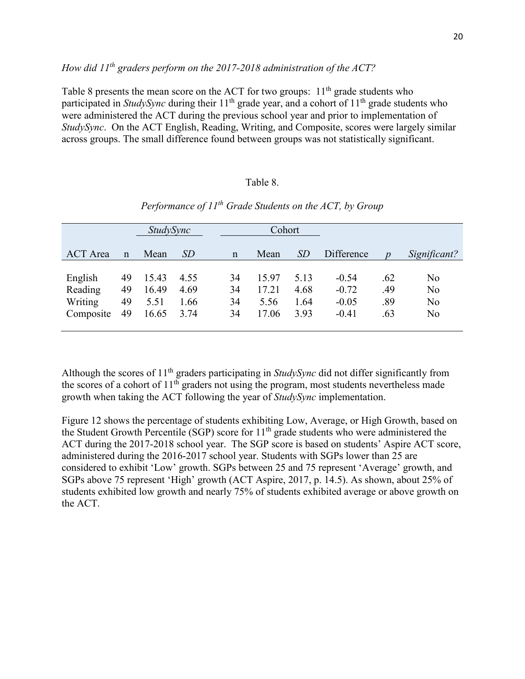## *How did 11th graders perform on the 2017-2018 administration of the ACT?*

Table 8 presents the mean score on the ACT for two groups:  $11<sup>th</sup>$  grade students who participated in *StudySync* during their 11<sup>th</sup> grade year, and a cohort of 11<sup>th</sup> grade students who were administered the ACT during the previous school year and prior to implementation of *StudySync*. On the ACT English, Reading, Writing, and Composite, scores were largely similar across groups. The small difference found between groups was not statistically significant.

### Table 8.

|                                            |                      | <i>StudySync</i>                |                              | Cohort               |                                 |                              |                                          |                          |                                              |
|--------------------------------------------|----------------------|---------------------------------|------------------------------|----------------------|---------------------------------|------------------------------|------------------------------------------|--------------------------|----------------------------------------------|
| <b>ACT</b> Area                            | $\mathbf n$          | Mean                            | SD                           | $\mathbf n$          | Mean                            | <i>SD</i>                    | Difference                               | $\boldsymbol{p}$         | Significant?                                 |
| English<br>Reading<br>Writing<br>Composite | 49<br>49<br>49<br>49 | 15.43<br>16.49<br>5.51<br>16.65 | 4.55<br>4.69<br>1.66<br>3.74 | 34<br>34<br>34<br>34 | 15.97<br>17.21<br>5.56<br>17.06 | 5.13<br>4.68<br>1.64<br>3.93 | $-0.54$<br>$-0.72$<br>$-0.05$<br>$-0.41$ | .62<br>.49<br>.89<br>.63 | No<br>N <sub>o</sub><br>No<br>N <sub>o</sub> |

*Performance of 11th Grade Students on the ACT, by Group* 

Although the scores of 11th graders participating in *StudySync* did not differ significantly from the scores of a cohort of  $11^{th}$  graders not using the program, most students nevertheless made growth when taking the ACT following the year of *StudySync* implementation.

Figure 12 shows the percentage of students exhibiting Low, Average, or High Growth, based on the Student Growth Percentile (SGP) score for 11<sup>th</sup> grade students who were administered the ACT during the 2017-2018 school year. The SGP score is based on students' Aspire ACT score, administered during the 2016-2017 school year. Students with SGPs lower than 25 are considered to exhibit 'Low' growth. SGPs between 25 and 75 represent 'Average' growth, and SGPs above 75 represent 'High' growth (ACT Aspire, 2017, p. 14.5). As shown, about 25% of students exhibited low growth and nearly 75% of students exhibited average or above growth on the ACT.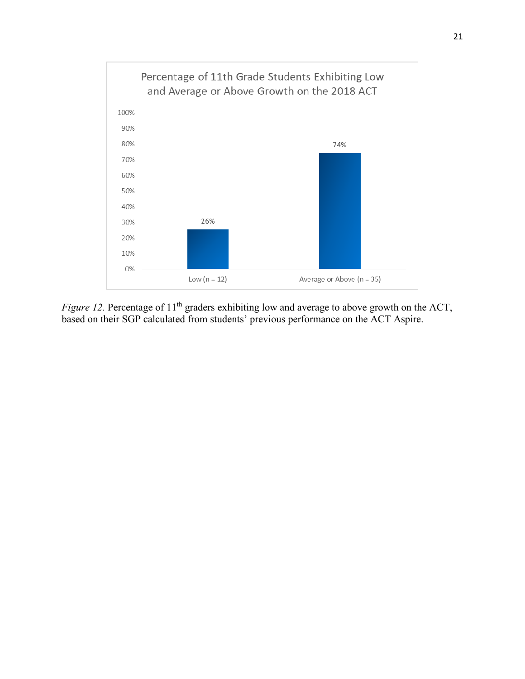

*Figure 12.* Percentage of 11<sup>th</sup> graders exhibiting low and average to above growth on the ACT, based on their SGP calculated from students' previous performance on the ACT Aspire.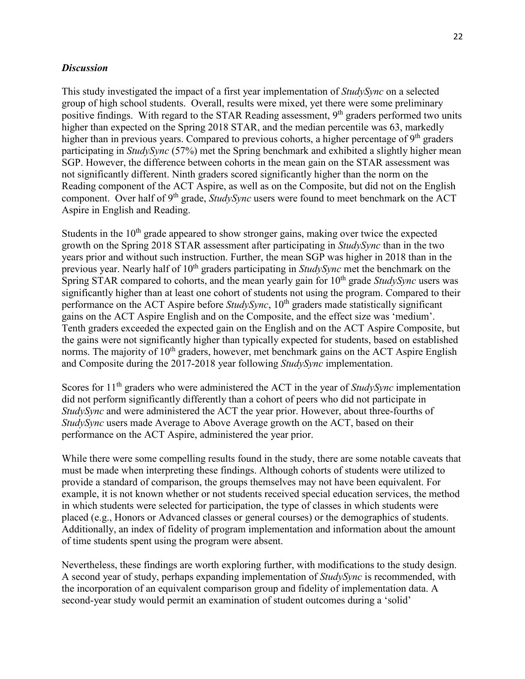## *Discussion*

This study investigated the impact of a first year implementation of *StudySync* on a selected group of high school students. Overall, results were mixed, yet there were some preliminary positive findings. With regard to the STAR Reading assessment, 9<sup>th</sup> graders performed two units higher than expected on the Spring 2018 STAR, and the median percentile was 63, markedly higher than in previous years. Compared to previous cohorts, a higher percentage of  $9<sup>th</sup>$  graders participating in *StudySync* (57%) met the Spring benchmark and exhibited a slightly higher mean SGP. However, the difference between cohorts in the mean gain on the STAR assessment was not significantly different. Ninth graders scored significantly higher than the norm on the Reading component of the ACT Aspire, as well as on the Composite, but did not on the English component. Over half of 9<sup>th</sup> grade, *StudySync* users were found to meet benchmark on the ACT Aspire in English and Reading.

Students in the  $10<sup>th</sup>$  grade appeared to show stronger gains, making over twice the expected growth on the Spring 2018 STAR assessment after participating in *StudySync* than in the two years prior and without such instruction. Further, the mean SGP was higher in 2018 than in the previous year. Nearly half of 10<sup>th</sup> graders participating in *StudySync* met the benchmark on the Spring STAR compared to cohorts, and the mean yearly gain for 10<sup>th</sup> grade *StudySync* users was significantly higher than at least one cohort of students not using the program. Compared to their performance on the ACT Aspire before *StudySync*, 10<sup>th</sup> graders made statistically significant gains on the ACT Aspire English and on the Composite, and the effect size was 'medium'. Tenth graders exceeded the expected gain on the English and on the ACT Aspire Composite, but the gains were not significantly higher than typically expected for students, based on established norms. The majority of 10<sup>th</sup> graders, however, met benchmark gains on the ACT Aspire English and Composite during the 2017-2018 year following *StudySync* implementation.

Scores for 11<sup>th</sup> graders who were administered the ACT in the year of *StudySync* implementation did not perform significantly differently than a cohort of peers who did not participate in *StudySync* and were administered the ACT the year prior. However, about three-fourths of *StudySync* users made Average to Above Average growth on the ACT, based on their performance on the ACT Aspire, administered the year prior.

While there were some compelling results found in the study, there are some notable caveats that must be made when interpreting these findings. Although cohorts of students were utilized to provide a standard of comparison, the groups themselves may not have been equivalent. For example, it is not known whether or not students received special education services, the method in which students were selected for participation, the type of classes in which students were placed (e.g., Honors or Advanced classes or general courses) or the demographics of students. Additionally, an index of fidelity of program implementation and information about the amount of time students spent using the program were absent.

Nevertheless, these findings are worth exploring further, with modifications to the study design. A second year of study, perhaps expanding implementation of *StudySync* is recommended, with the incorporation of an equivalent comparison group and fidelity of implementation data. A second-year study would permit an examination of student outcomes during a 'solid'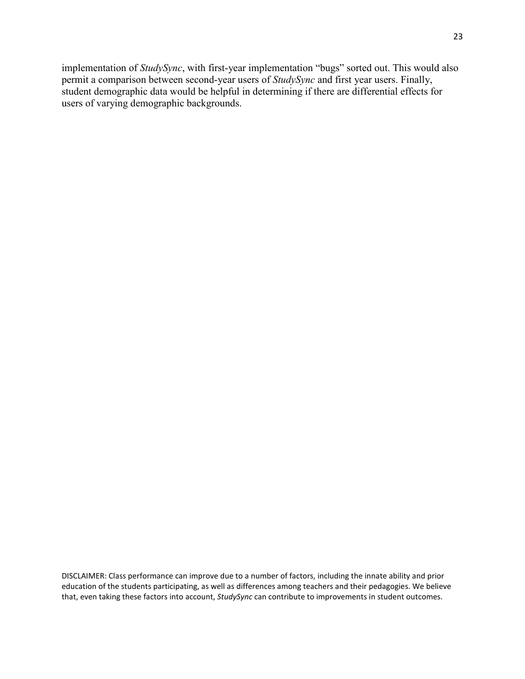implementation of *StudySync*, with first-year implementation "bugs" sorted out. This would also permit a comparison between second-year users of *StudySync* and first year users. Finally, student demographic data would be helpful in determining if there are differential effects for users of varying demographic backgrounds.

DISCLAIMER: Class performance can improve due to a number of factors, including the innate ability and prior education of the students participating, as well as differences among teachers and their pedagogies. We believe that, even taking these factors into account, *StudySync* can contribute to improvements in student outcomes.